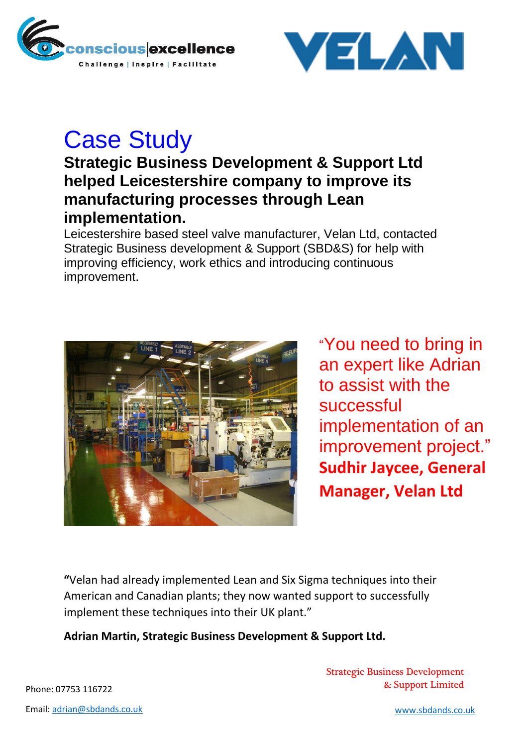



## Case Study

## **Strategic Business Development & Support Ltd helped Leicestershire company to improve its manufacturing processes through Lean implementation.**

Leicestershire based steel valve manufacturer, Velan Ltd, contacted Strategic Business development & Support (SBD&S) for help with improving efficiency, work ethics and introducing continuous improvement.



"You need to bring in an expert like Adrian to assist with the successful implementation of an improvement project." **Sudhir Jaycee, General Manager, Velan Ltd** 

**"**Velan had already implemented Lean and Six Sigma techniques into their American and Canadian plants; they now wanted support to successfully implement these techniques into their UK plant."

**Adrian Martin, Strategic Business Development & Support Ltd.**

Strategic Business Development Phone: 07753 116722 **Example 2018** 2019 2019 2019 2021 2022 2023

Email: [adrian@sbdands.co.uk](file:///C:/Users/Emma/AppData/Local/Microsoft/Windows/INetCache/IE/JHZHO3MT/adrian@sbdands.co.uk) [www.sbdands.co.uk](file:///C:/Users/Emma/AppData/Local/Microsoft/Windows/INetCache/IE/JHZHO3MT/www.sbdands.co.uk)